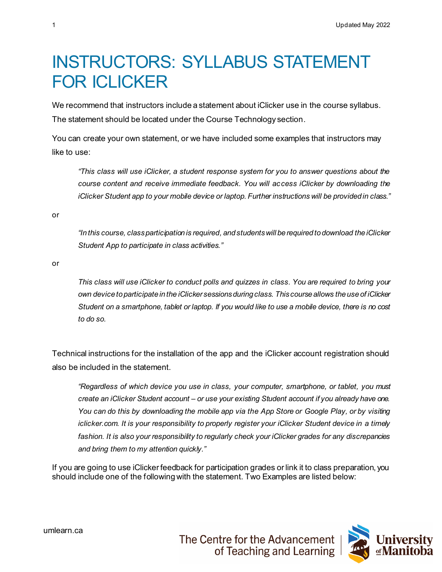## INSTRUCTORS: SYLLABUS STATEMENT FOR ICLICKER

We recommend that instructors include a statement about iClicker use in the course syllabus. The statement should be located under the Course Technology section.

You can create your own statement, or we have included some examples that instructors may like to use:

*"This class will use iClicker, a student response system for you to answer questions about the course content and receive immediate feedback. You will access iClicker by downloading the iClicker Student app to your mobile device or laptop. Further instructions will be provided in class."*

or

*"In this course, class participation is required, and students will be required to download the iClicker Student App to participate in class activities."*

or

*This class will use iClicker to conduct polls and quizzes in class. You are required to bring your own device to participate in the iClicker sessions during class. This course allows the use of iClicker Student on a smartphone, tablet or laptop. If you would like to use a mobile device, there is no cost to do so.*

Technical instructions for the installation of the app and the iClicker account registration should also be included in the statement.

*"Regardless of which device you use in class, your computer, smartphone, or tablet, you must create an iClicker Student account – or use your existing Student account if you already have one. You can do this by downloading the mobile app via the App Store or Google Play, or by visiting iclicker.com. It is your responsibility to properly register your iClicker Student device in a timely*  fashion. It is also your responsibility to regularly check your *iClicker grades for any discrepancies and bring them to my attention quickly."*

If you are going to use iClicker feedback for participation grades or link it to class preparation, you should include one of the following with the statement. Two Examples are listed below: